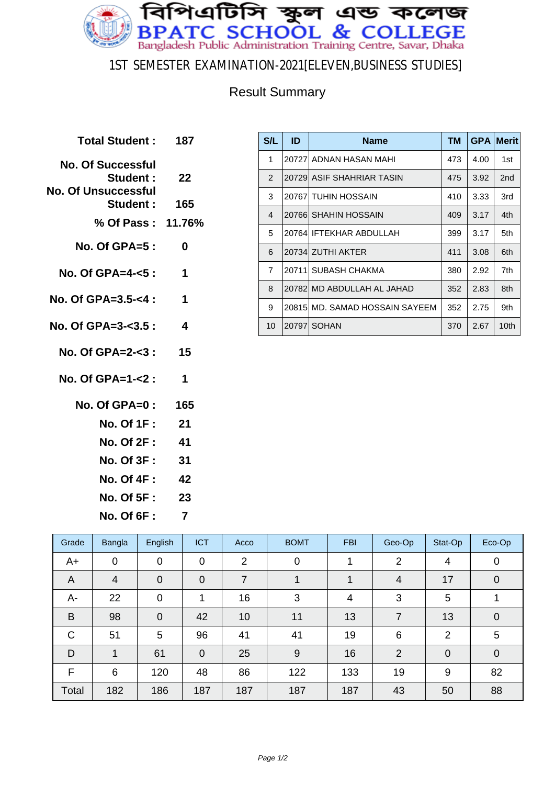

### 1ST SEMESTER EXAMINATION-2021[ELEVEN,BUSINESS STUDIES]

### Result Summary

**Total Student : 187 No. Of Successful Student : 22 No. Of Unsuccessful Student : 165 % Of Pass : 11.76% No. Of GPA=5 : 0 No. Of GPA=4-<5 : 1 No. Of GPA=3.5-<4 : 1 No. Of GPA=3-<3.5 : 4 No. Of GPA=2-<3 : 15 No. Of GPA=1-<2 : 1 No. Of GPA=0 : 165 No. Of 1F : 21 No. Of 2F : 41 No. Of 3F : 31 No. Of 4F : 42 No. Of 5F : 23 No. Of 6F : 7**

| S/L            | ID | <b>Name</b>                    | <b>TM</b> | <b>GPA</b> | <b>Merit</b>    |
|----------------|----|--------------------------------|-----------|------------|-----------------|
| 1              |    | 20727 ADNAN HASAN MAHI         | 473       | 4.00       | 1st             |
| $\overline{2}$ |    | 20729  ASIF SHAHRIAR TASIN     | 475       | 3.92       | 2 <sub>nd</sub> |
| 3              |    | 20767 TUHIN HOSSAIN            | 410       | 3.33       | 3rd             |
| $\overline{4}$ |    | 20766  SHAHIN HOSSAIN          | 409       | 3.17       | 4th             |
| 5              |    | 20764 IFTEKHAR ABDULLAH        | 399       | 3.17       | 5th             |
| 6              |    | 20734 ZUTHI AKTER              | 411       | 3.08       | 6th             |
| $\overline{7}$ |    | 20711 SUBASH CHAKMA            | 380       | 2.92       | 7th             |
| 8              |    | 20782 MD ABDULLAH AL JAHAD     | 352       | 2.83       | 8th             |
| 9              |    | 20815 MD, SAMAD HOSSAIN SAYEEM | 352       | 2.75       | 9th             |
| 10             |    | 20797 SOHAN                    | 370       | 2.67       | 10th            |

| Grade        | Bangla | English        | <b>ICT</b>     | Acco           | <b>BOMT</b>    | <b>FBI</b> | Geo-Op         | Stat-Op        | Eco-Op         |
|--------------|--------|----------------|----------------|----------------|----------------|------------|----------------|----------------|----------------|
| $A+$         | 0      | 0              | $\mathbf 0$    | $\overline{2}$ | $\overline{0}$ |            | $\overline{2}$ | 4              | 0              |
| A            | 4      | $\overline{0}$ | $\overline{0}$ | 7              |                |            | 4              | 17             | $\mathbf 0$    |
| А-           | 22     | 0              | 1              | 16             | 3              | 4          | 3              | 5              | 1              |
| B            | 98     | 0              | 42             | 10             | 11             | 13         | $\overline{7}$ | 13             | $\overline{0}$ |
| $\mathsf{C}$ | 51     | 5              | 96             | 41             | 41             | 19         | 6              | $\overline{2}$ | 5              |
| D            | 1      | 61             | $\overline{0}$ | 25             | 9              | 16         | $\overline{2}$ | $\mathbf 0$    | $\mathbf 0$    |
| F            | 6      | 120            | 48             | 86             | 122            | 133        | 19             | 9              | 82             |
| Total        | 182    | 186            | 187            | 187            | 187            | 187        | 43             | 50             | 88             |